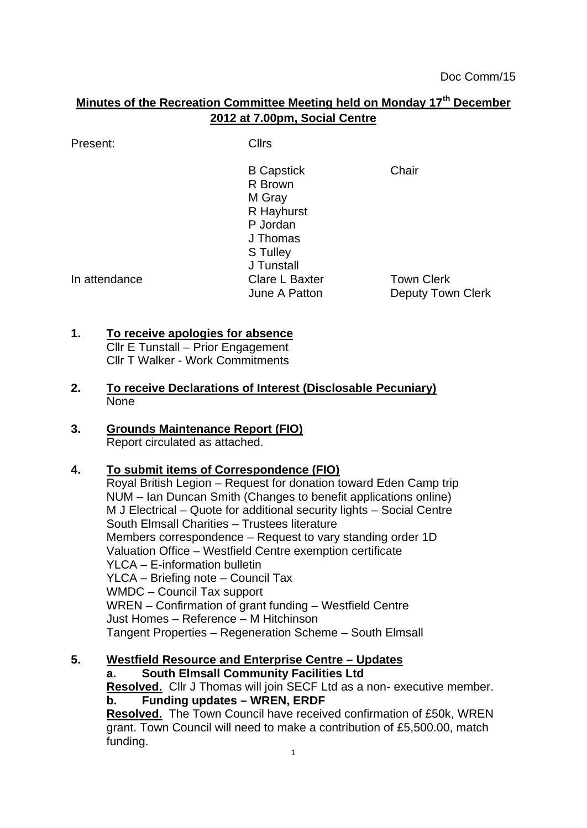# **Minutes of the Recreation Committee Meeting held on Monday 17th December 2012 at 7.00pm, Social Centre**

Present: Clirs

B Capstick Chair R Brown M Gray R Hayhurst P Jordan J Thomas S Tulley J Tunstall In attendance The Clare L Baxter Town Clerk<br>June A Patton Deputy Tow Deputy Town Clerk

## **1. To receive apologies for absence**

- Cllr E Tunstall Prior Engagement Cllr T Walker - Work Commitments
- **2. To receive Declarations of Interest (Disclosable Pecuniary)** None
- **3. Grounds Maintenance Report (FIO)** Report circulated as attached.

## **4. To submit items of Correspondence (FIO)**

Royal British Legion – Request for donation toward Eden Camp trip NUM – Ian Duncan Smith (Changes to benefit applications online) M J Electrical – Quote for additional security lights – Social Centre South Elmsall Charities – Trustees literature Members correspondence – Request to vary standing order 1D Valuation Office – Westfield Centre exemption certificate YLCA – E-information bulletin YLCA – Briefing note – Council Tax WMDC – Council Tax support WREN – Confirmation of grant funding – Westfield Centre Just Homes – Reference – M Hitchinson Tangent Properties – Regeneration Scheme – South Elmsall

## **5. Westfield Resource and Enterprise Centre – Updates**

**a. South Elmsall Community Facilities Ltd Resolved.** Cllr J Thomas will join SECF Ltd as a non- executive member. **b. Funding updates – WREN, ERDF Resolved.** The Town Council have received confirmation of £50k, WREN grant. Town Council will need to make a contribution of £5,500.00, match funding.